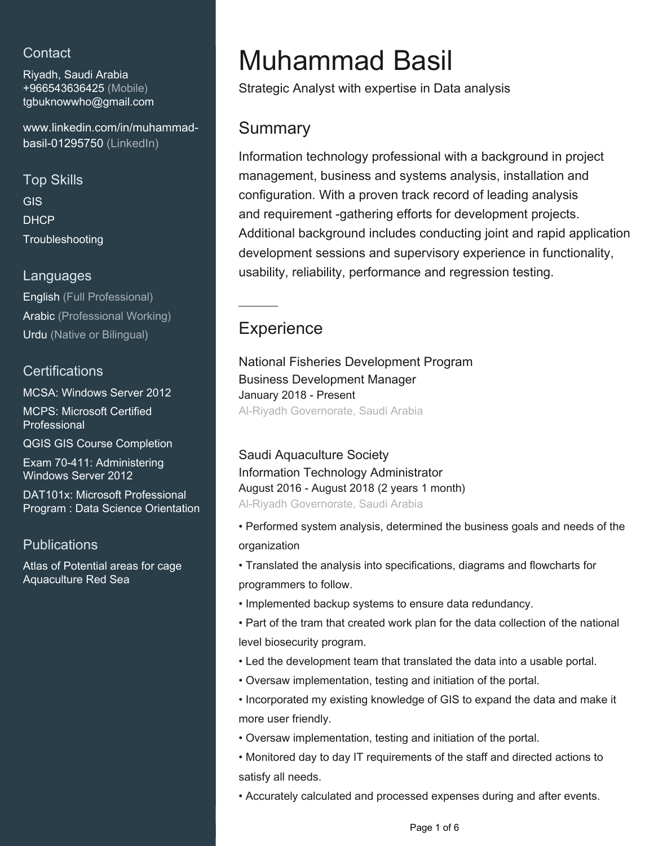## **Contact**

Riyadh, Saudi Arabia +966543636425 (Mobile) [tgbuknowwho@gmail.com](mailto:tgbuknowwho@gmail.com)

[www.linkedin.com/in/muhammad](https://www.linkedin.com/in/muhammad-basil-01295750?jobid=1234&lipi=urn%3Ali%3Apage%3Ad_jobs_easyapply_pdfgenresume%3Boj%2FoYZ8eS7%2Bj7dC%2BPtJA%2FQ%3D%3D&licu=urn%3Ali%3Acontrol%3Ad_jobs_easyapply_pdfgenresume-v02_profile)[basil-01295750 \(LinkedIn\)](https://www.linkedin.com/in/muhammad-basil-01295750?jobid=1234&lipi=urn%3Ali%3Apage%3Ad_jobs_easyapply_pdfgenresume%3Boj%2FoYZ8eS7%2Bj7dC%2BPtJA%2FQ%3D%3D&licu=urn%3Ali%3Acontrol%3Ad_jobs_easyapply_pdfgenresume-v02_profile)

Top Skills GIS DHCP **Troubleshooting** 

### Languages

English (Full Professional) Arabic (Professional Working) Urdu (Native or Bilingual)

### **Certifications**

MCSA: Windows Server 2012 MCPS: Microsoft Certified Professional

QGIS GIS Course Completion

Exam 70-411: Administering Windows Server 2012

DAT101x: Microsoft Professional Program : Data Science Orientation

### **Publications**

Atlas of Potential areas for cage Aquaculture Red Sea

# Muhammad Basil

Strategic Analyst with expertise in Data analysis

# **Summary**

Information technology professional with a background in project management, business and systems analysis, installation and configuration. With a proven track record of leading analysis and requirement -gathering efforts for development projects. Additional background includes conducting joint and rapid application development sessions and supervisory experience in functionality, usability, reliability, performance and regression testing.

# **Experience**

National Fisheries Development Program Business Development Manager January 2018 - Present Al-Riyadh Governorate, Saudi Arabia

Saudi Aquaculture Society Information Technology Administrator August 2016 - August 2018 (2 years 1 month) Al-Riyadh Governorate, Saudi Arabia

- Performed system analysis, determined the business goals and needs of the organization
- Translated the analysis into specifications, diagrams and flowcharts for programmers to follow.
- Implemented backup systems to ensure data redundancy.
- Part of the tram that created work plan for the data collection of the national level biosecurity program.
- Led the development team that translated the data into a usable portal.
- Oversaw implementation, testing and initiation of the portal.
- Incorporated my existing knowledge of GIS to expand the data and make it more user friendly.
- Oversaw implementation, testing and initiation of the portal.
- Monitored day to day IT requirements of the staff and directed actions to satisfy all needs.
- Accurately calculated and processed expenses during and after events.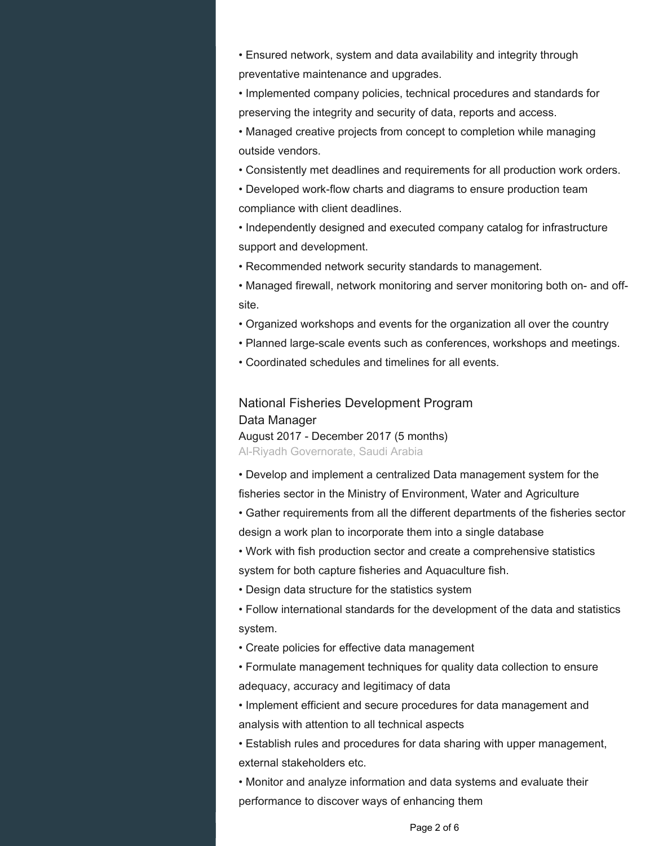• Ensured network, system and data availability and integrity through preventative maintenance and upgrades.

• Implemented company policies, technical procedures and standards for preserving the integrity and security of data, reports and access.

• Managed creative projects from concept to completion while managing outside vendors.

• Consistently met deadlines and requirements for all production work orders.

• Developed work-flow charts and diagrams to ensure production team compliance with client deadlines.

• Independently designed and executed company catalog for infrastructure support and development.

• Recommended network security standards to management.

• Managed firewall, network monitoring and server monitoring both on- and offsite.

- Organized workshops and events for the organization all over the country
- Planned large-scale events such as conferences, workshops and meetings.
- Coordinated schedules and timelines for all events.

National Fisheries Development Program Data Manager August 2017 - December 2017 (5 months) Al-Riyadh Governorate, Saudi Arabia

• Develop and implement a centralized Data management system for the fisheries sector in the Ministry of Environment, Water and Agriculture

• Gather requirements from all the different departments of the fisheries sector design a work plan to incorporate them into a single database

• Work with fish production sector and create a comprehensive statistics system for both capture fisheries and Aquaculture fish.

• Design data structure for the statistics system

• Follow international standards for the development of the data and statistics system.

• Create policies for effective data management

• Formulate management techniques for quality data collection to ensure adequacy, accuracy and legitimacy of data

• Implement efficient and secure procedures for data management and analysis with attention to all technical aspects

• Establish rules and procedures for data sharing with upper management, external stakeholders etc.

• Monitor and analyze information and data systems and evaluate their performance to discover ways of enhancing them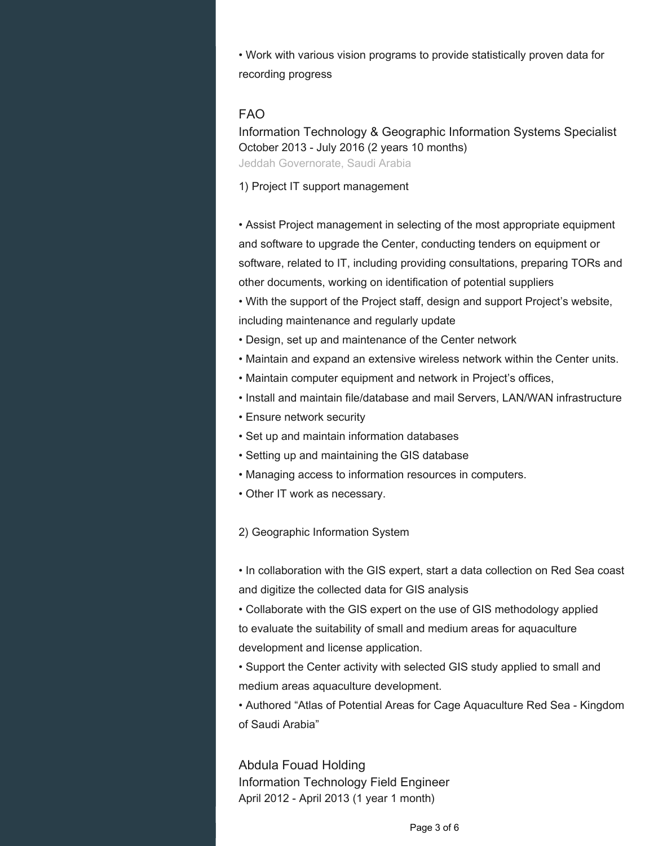• Work with various vision programs to provide statistically proven data for recording progress

#### FAO

Information Technology & Geographic Information Systems Specialist October 2013 - July 2016 (2 years 10 months) Jeddah Governorate, Saudi Arabia

1) Project IT support management

• Assist Project management in selecting of the most appropriate equipment and software to upgrade the Center, conducting tenders on equipment or software, related to IT, including providing consultations, preparing TORs and other documents, working on identification of potential suppliers

• With the support of the Project staff, design and support Project's website, including maintenance and regularly update

- Design, set up and maintenance of the Center network
- Maintain and expand an extensive wireless network within the Center units.
- Maintain computer equipment and network in Project's offices,
- Install and maintain file/database and mail Servers, LAN/WAN infrastructure
- Ensure network security
- Set up and maintain information databases
- Setting up and maintaining the GIS database
- Managing access to information resources in computers.
- Other IT work as necessary.

2) Geographic Information System

• In collaboration with the GIS expert, start a data collection on Red Sea coast and digitize the collected data for GIS analysis

• Collaborate with the GIS expert on the use of GIS methodology applied to evaluate the suitability of small and medium areas for aquaculture development and license application.

• Support the Center activity with selected GIS study applied to small and medium areas aquaculture development.

• Authored "Atlas of Potential Areas for Cage Aquaculture Red Sea - Kingdom of Saudi Arabia"

Abdula Fouad Holding Information Technology Field Engineer April 2012 - April 2013 (1 year 1 month)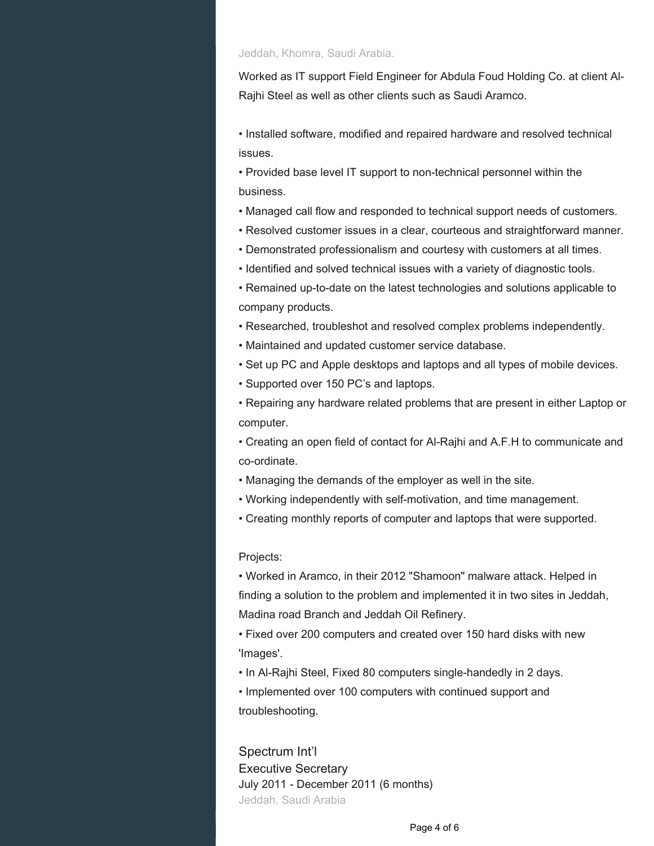#### Jeddah, Khomra, Saudi Arabia.

Worked as IT support Field Engineer for Abdula Foud Holding Co. at client Al-Rajhi Steel as well as other clients such as Saudi Aramco.

• Installed software, modified and repaired hardware and resolved technical issues.

• Provided base level IT support to non-technical personnel within the business.

- Managed call flow and responded to technical support needs of customers.
- Resolved customer issues in a clear, courteous and straightforward manner.
- Demonstrated professionalism and courtesy with customers at all times.
- Identified and solved technical issues with a variety of diagnostic tools.

• Remained up-to-date on the latest technologies and solutions applicable to company products.

• Researched, troubleshot and resolved complex problems independently.

- Maintained and updated customer service database.
- Set up PC and Apple desktops and laptops and all types of mobile devices.
- Supported over 150 PC's and laptops.

• Repairing any hardware related problems that are present in either Laptop or computer.

• Creating an open field of contact for Al-Rajhi and A.F.H to communicate and co-ordinate.

- Managing the demands of the employer as well in the site.
- Working independently with self-motivation, and time management.
- Creating monthly reports of computer and laptops that were supported.

#### Projects:

• Worked in Aramco, in their 2012 "Shamoon" malware attack. Helped in finding a solution to the problem and implemented it in two sites in Jeddah, Madina road Branch and Jeddah Oil Refinery.

• Fixed over 200 computers and created over 150 hard disks with new 'Images'.

• In Al-Rajhi Steel, Fixed 80 computers single-handedly in 2 days.

• Implemented over 100 computers with continued support and troubleshooting.

Spectrum Int'l Executive Secretary July 2011 - December 2011 (6 months) Jeddah, Saudi Arabia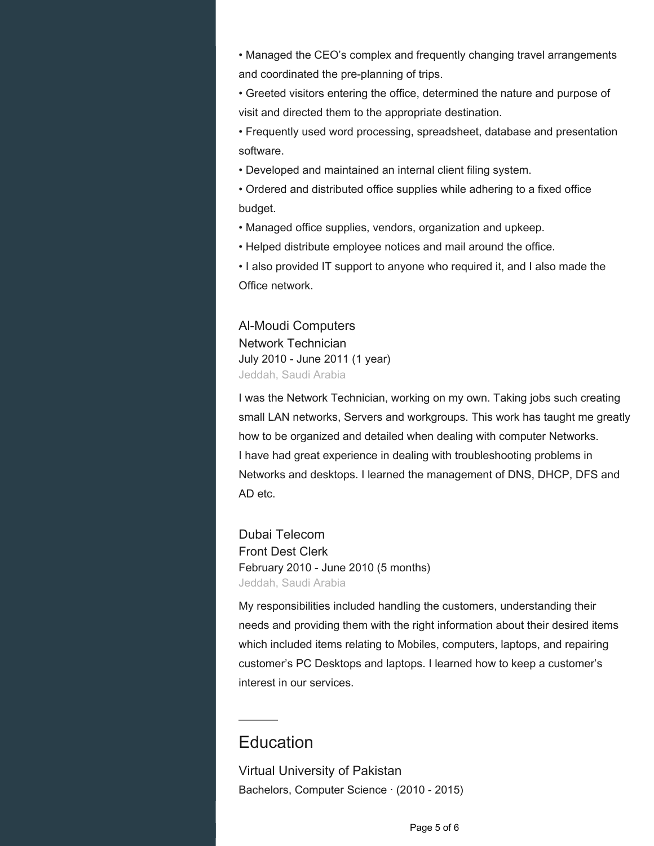• Managed the CEO's complex and frequently changing travel arrangements and coordinated the pre-planning of trips.

• Greeted visitors entering the office, determined the nature and purpose of visit and directed them to the appropriate destination.

• Frequently used word processing, spreadsheet, database and presentation software.

• Developed and maintained an internal client filing system.

• Ordered and distributed office supplies while adhering to a fixed office budget.

• Managed office supplies, vendors, organization and upkeep.

• Helped distribute employee notices and mail around the office.

• I also provided IT support to anyone who required it, and I also made the Office network.

Al-Moudi Computers Network Technician July 2010 - June 2011 (1 year) Jeddah, Saudi Arabia

I was the Network Technician, working on my own. Taking jobs such creating small LAN networks, Servers and workgroups. This work has taught me greatly how to be organized and detailed when dealing with computer Networks. I have had great experience in dealing with troubleshooting problems in Networks and desktops. I learned the management of DNS, DHCP, DFS and AD etc.

Dubai Telecom Front Dest Clerk February 2010 - June 2010 (5 months) Jeddah, Saudi Arabia

My responsibilities included handling the customers, understanding their needs and providing them with the right information about their desired items which included items relating to Mobiles, computers, laptops, and repairing customer's PC Desktops and laptops. I learned how to keep a customer's interest in our services.

# **Education**

Virtual University of Pakistan Bachelors, Computer Science · (2010 - 2015)